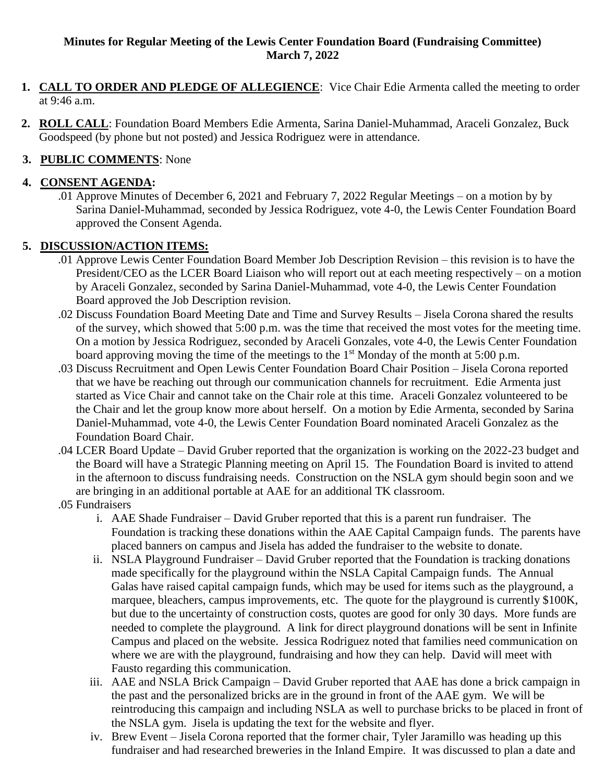### **Minutes for Regular Meeting of the Lewis Center Foundation Board (Fundraising Committee) March 7, 2022**

- **1. CALL TO ORDER AND PLEDGE OF ALLEGIENCE**: Vice Chair Edie Armenta called the meeting to order at 9:46 a.m.
- **2. ROLL CALL**: Foundation Board Members Edie Armenta, Sarina Daniel-Muhammad, Araceli Gonzalez, Buck Goodspeed (by phone but not posted) and Jessica Rodriguez were in attendance.

# **3. PUBLIC COMMENTS**: None

### **4. CONSENT AGENDA:**

.01 Approve Minutes of December 6, 2021 and February 7, 2022 Regular Meetings – on a motion by by Sarina Daniel-Muhammad, seconded by Jessica Rodriguez, vote 4-0, the Lewis Center Foundation Board approved the Consent Agenda.

## **5. DISCUSSION/ACTION ITEMS:**

- .01 Approve Lewis Center Foundation Board Member Job Description Revision this revision is to have the President/CEO as the LCER Board Liaison who will report out at each meeting respectively – on a motion by Araceli Gonzalez, seconded by Sarina Daniel-Muhammad, vote 4-0, the Lewis Center Foundation Board approved the Job Description revision.
- .02 Discuss Foundation Board Meeting Date and Time and Survey Results Jisela Corona shared the results of the survey, which showed that 5:00 p.m. was the time that received the most votes for the meeting time. On a motion by Jessica Rodriguez, seconded by Araceli Gonzales, vote 4-0, the Lewis Center Foundation board approving moving the time of the meetings to the 1<sup>st</sup> Monday of the month at 5:00 p.m.
- .03 Discuss Recruitment and Open Lewis Center Foundation Board Chair Position Jisela Corona reported that we have be reaching out through our communication channels for recruitment. Edie Armenta just started as Vice Chair and cannot take on the Chair role at this time. Araceli Gonzalez volunteered to be the Chair and let the group know more about herself. On a motion by Edie Armenta, seconded by Sarina Daniel-Muhammad, vote 4-0, the Lewis Center Foundation Board nominated Araceli Gonzalez as the Foundation Board Chair.
- .04 LCER Board Update David Gruber reported that the organization is working on the 2022-23 budget and the Board will have a Strategic Planning meeting on April 15. The Foundation Board is invited to attend in the afternoon to discuss fundraising needs. Construction on the NSLA gym should begin soon and we are bringing in an additional portable at AAE for an additional TK classroom.
- .05 Fundraisers
	- i. AAE Shade Fundraiser David Gruber reported that this is a parent run fundraiser. The Foundation is tracking these donations within the AAE Capital Campaign funds. The parents have placed banners on campus and Jisela has added the fundraiser to the website to donate.
	- ii. NSLA Playground Fundraiser David Gruber reported that the Foundation is tracking donations made specifically for the playground within the NSLA Capital Campaign funds. The Annual Galas have raised capital campaign funds, which may be used for items such as the playground, a marquee, bleachers, campus improvements, etc. The quote for the playground is currently \$100K, but due to the uncertainty of construction costs, quotes are good for only 30 days. More funds are needed to complete the playground. A link for direct playground donations will be sent in Infinite Campus and placed on the website. Jessica Rodriguez noted that families need communication on where we are with the playground, fundraising and how they can help. David will meet with Fausto regarding this communication.
	- iii. AAE and NSLA Brick Campaign David Gruber reported that AAE has done a brick campaign in the past and the personalized bricks are in the ground in front of the AAE gym. We will be reintroducing this campaign and including NSLA as well to purchase bricks to be placed in front of the NSLA gym. Jisela is updating the text for the website and flyer.
	- iv. Brew Event Jisela Corona reported that the former chair, Tyler Jaramillo was heading up this fundraiser and had researched breweries in the Inland Empire. It was discussed to plan a date and